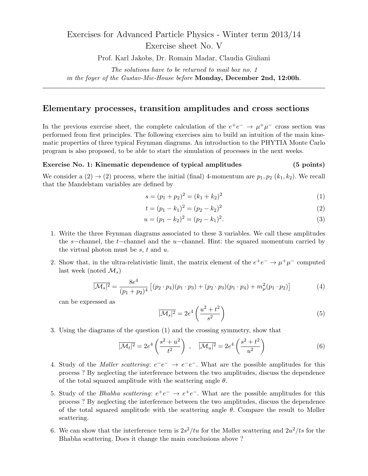# Exercises for Advanced Particle Physics - Winter term 2013/14 Exercise sheet No. V

Prof. Karl Jakobs, Dr. Romain Madar, Claudia Giuliani

The solutions have to be returned to mail box no. 1 in the foyer of the Gustav-Mie-House before Monday, December 2nd, 12:00h.

### Elementary processes, transition amplitudes and cross sections

In the previous exercise sheet, the complete calculation of the  $e^+e^- \rightarrow \mu^+\mu^-$  cross section was performed from first principles. The following exercises aim to build an intuition of the main kinematic properties of three typical Feynman diagrams. An introduction to the PHYTIA Monte Carlo program is also proposed, to be able to start the simulation of processes in the next weeks.

#### Exercise No. 1: Kinematic dependence of typical amplitudes (5 points)

We consider a  $(2) \rightarrow (2)$  process, where the initial (final) 4-momentum are  $p_1, p_2$  ( $k_1, k_2$ ). We recall that the Mandelstam variables are defined by

$$
s = (p_1 + p_2)^2 = (k_1 + k_2)^2 \tag{1}
$$

$$
t = (p_1 - k_1)^2 = (p_2 - k_2)^2 \tag{2}
$$

$$
u = (p_1 - k_2)^2 = (p_2 - k_1)^2.
$$
\n(3)

- 1. Write the three Feynman diagrams associated to these 3 variables. We call these amplitudes the s−channel, the t−channel and the u−channel. Hint: the squared momentum carried by the virtual photon must be  $s, t$  and  $u$ .
- 2. Show that, in the ultra-relativistic limit, the matrix element of the  $e^+e^- \to \mu^+\mu^-$  computed last week (noted  $\mathcal{M}_s$ )

$$
\overline{|\mathcal{M}_s|^2} = \frac{8e^4}{(p_1 + p_2)^4} \left[ (p_2 \cdot p_4)(p_1 \cdot p_3) + (p_2 \cdot p_3)(p_1 \cdot p_4) + m_\mu^2(p_1 \cdot p_2) \right] \tag{4}
$$

can be expressed as

$$
\overline{|\mathcal{M}_s|^2} = 2e^4 \left(\frac{u^2 + t^2}{s^2}\right) \tag{5}
$$

3. Using the diagrams of the question (1) and the crossing symmetry, show that

$$
\overline{|\mathcal{M}_t|^2} = 2e^4 \left( \frac{s^2 + u^2}{t^2} \right) , \quad \overline{|\mathcal{M}_u|^2} = 2e^4 \left( \frac{s^2 + t^2}{u^2} \right)
$$
 (6)

- 4. Study of the *Møller scattering*:  $e^-e^- \rightarrow e^-e^-$ . What are the possible amplitudes for this process ? By neglecting the interference between the two amplitudes, discuss the dependence of the total squared amplitude with the scattering angle  $\theta$ .
- 5. Study of the *Bhabha scattering*:  $e^+e^- \rightarrow e^+e^-$ . What are the possible amplitudes for this process ? By neglecting the interference between the two amplitudes, discuss the dependence of the total squared amplitude with the scattering angle  $\theta$ . Compare the result to Møller scattering.
- 6. We can show that the interference term is  $2s^2/tu$  for the Møller scattering and  $2u^2/ts$  for the Bhabha scattering. Does it change the main conclusions above ?